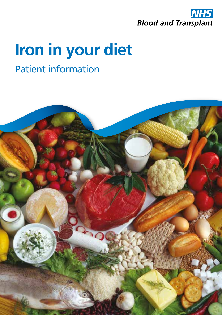

# **Iron in your diet**

## Patient information

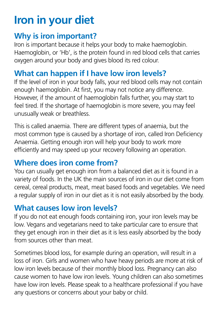# **Iron in your diet**

#### **Why is iron important?**

Iron is important because it helps your body to make haemoglobin. Haemoglobin, or 'Hb', is the protein found in red blood cells that carries oxygen around your body and gives blood its red colour.

### **What can happen if I have low iron levels?**

If the level of iron in your body falls, your red blood cells may not contain enough haemoglobin. At first, you may not notice any difference. However, if the amount of haemoglobin falls further, you may start to feel tired. If the shortage of haemoglobin is more severe, you may feel unusually weak or breathless.

This is called anaemia. There are different types of anaemia, but the most common type is caused by a shortage of iron, called Iron Deficiency Anaemia. Getting enough iron will help your body to work more efficiently and may speed up your recovery following an operation.

### **Where does iron come from?**

You can usually get enough iron from a balanced diet as it is found in a variety of foods. In the UK the main sources of iron in our diet come from cereal, cereal products, meat, meat based foods and vegetables. We need a regular supply of iron in our diet as it is not easily absorbed by the body.

#### **What causes low iron levels?**

If you do not eat enough foods containing iron, your iron levels may be low. Vegans and vegetarians need to take particular care to ensure that they get enough iron in their diet as it is less easily absorbed by the body from sources other than meat.

Sometimes blood loss, for example during an operation, will result in a loss of iron. Girls and women who have heavy periods are more at risk of low iron levels because of their monthly blood loss. Pregnancy can also cause women to have low iron levels. Young children can also sometimes have low iron levels. Please speak to a healthcare professional if you have any questions or concerns about your baby or child.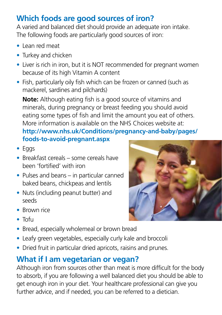## **Which foods are good sources of iron?**

A varied and balanced diet should provide an adequate iron intake. The following foods are particularly good sources of iron:

- **•** Lean red meat
- **•** Turkey and chicken
- **•** Liver is rich in iron, but it is NOT recommended for pregnant women because of its high Vitamin A content
- **•** Fish, particularly oily fish which can be frozen or canned (such as mackerel, sardines and pilchards)

**Note:** Although eating fish is a good source of vitamins and minerals, during pregnancy or breast feeding you should avoid eating some types of fish and limit the amount you eat of others. More information is available on the NHS Choices website at: **http://www.nhs.uk/Conditions/pregnancy-and-baby/pages/ foods-to-avoid-pregnant.aspx**

- **•** Eggs
- **•** Breakfast cereals some cereals have been 'fortified' with iron
- **•** Pulses and beans in particular canned baked beans, chickpeas and lentils
- **•** Nuts (including peanut butter) and seeds
- **•** Brown rice
- **•** Tofu
- **•** Bread, especially wholemeal or brown bread
- **•** Leafy green vegetables, especially curly kale and broccoli
- **•** Dried fruit in particular dried apricots, raisins and prunes.

### **What if I am vegetarian or vegan?**

Although iron from sources other than meat is more difficult for the body to absorb, if you are following a well balanced diet you should be able to get enough iron in your diet. Your healthcare professional can give you further advice, and if needed, you can be referred to a dietician.

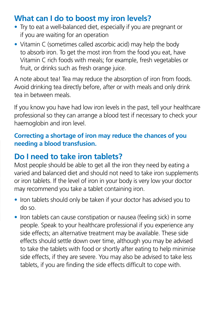#### **What can I do to boost my iron levels?**

- **•** Try to eat a well-balanced diet, especially if you are pregnant or if you are waiting for an operation
- **•** Vitamin C (sometimes called ascorbic acid) may help the body to absorb iron. To get the most iron from the food you eat, have Vitamin C rich foods with meals; for example, fresh vegetables or fruit, or drinks such as fresh orange juice.

A note about tea! Tea may reduce the absorption of iron from foods. Avoid drinking tea directly before, after or with meals and only drink tea in between meals.

If you know you have had low iron levels in the past, tell your healthcare professional so they can arrange a blood test if necessary to check your haemoglobin and iron level.

#### **Correcting a shortage of iron may reduce the chances of you needing a blood transfusion.**

#### **Do I need to take iron tablets?**

Most people should be able to get all the iron they need by eating a varied and balanced diet and should not need to take iron supplements or iron tablets. If the level of iron in your body is very low your doctor may recommend you take a tablet containing iron.

- **•** Iron tablets should only be taken if your doctor has advised you to do so.
- **•** Iron tablets can cause constipation or nausea (feeling sick) in some people. Speak to your healthcare professional if you experience any side effects; an alternative treatment may be available. These side effects should settle down over time, although you may be advised to take the tablets with food or shortly after eating to help minimise side effects, if they are severe. You may also be advised to take less tablets, if you are finding the side effects difficult to cope with.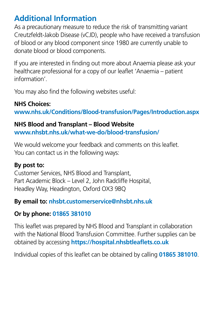#### **Additional Information**

As a precautionary measure to reduce the risk of transmitting variant Creutzfeldt-Jakob Disease (vCJD), people who have received a transfusion of blood or any blood component since 1980 are currently unable to donate blood or blood components.

If you are interested in finding out more about Anaemia please ask your healthcare professional for a copy of our leaflet 'Anaemia – patient information'.

You may also find the following websites useful:

#### **NHS Choices:**

**www.nhs.uk/Conditions/Blood-transfusion/Pages/Introduction.aspx**

#### **NHS Blood and Transplant – Blood Website**

**www.nhsbt.nhs.uk/what-we-do/blood-transfusion/**

We would welcome your feedback and comments on this leaflet. You can contact us in the following ways:

#### **By post to:**

Customer Services, NHS Blood and Transplant, Part Academic Block – Level 2, John Radcliffe Hospital, Headley Way, Headington, Oxford OX3 9BQ

#### **By email to: nhsbt.customerservice@nhsbt.nhs.uk**

#### **Or by phone: 01865 381010**

This leaflet was prepared by NHS Blood and Transplant in collaboration with the National Blood Transfusion Committee. Further supplies can be obtained by accessing **https://hospital.nhsbtleaflets.co.uk**

Individual copies of this leaflet can be obtained by calling **01865 381010**.